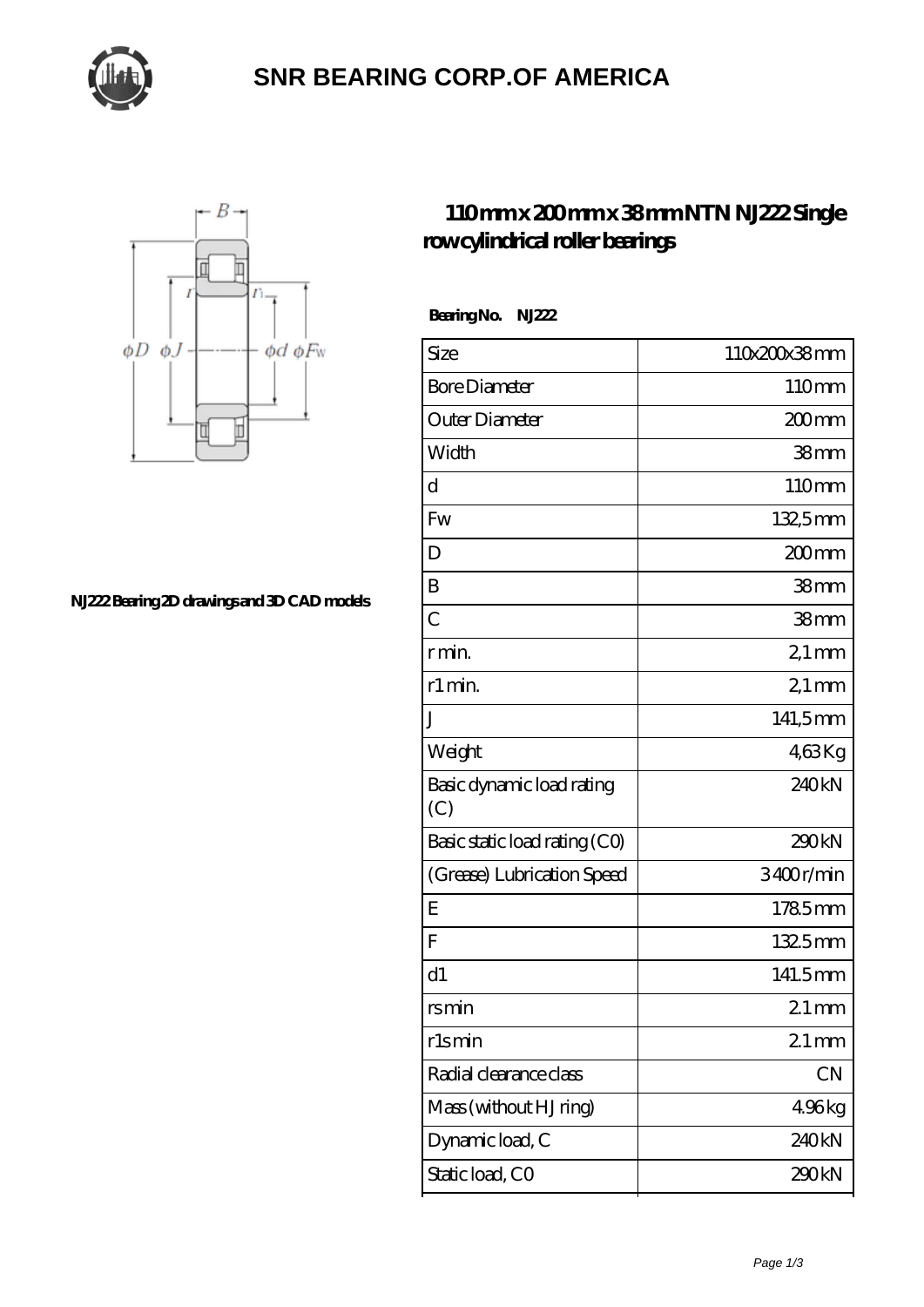

## **[SNR BEARING CORP.OF AMERICA](https://thebestofquebec.com)**



**[NJ222 Bearing 2D drawings and 3D CAD models](https://thebestofquebec.com/pic-64979008.html)**

## **[110 mm x 200 mm x 38 mm NTN NJ222 Single](https://thebestofquebec.com/az-64979008-ntn-nj222-single-row-cylindrical-roller-bearings.html) [row cylindrical roller bearings](https://thebestofquebec.com/az-64979008-ntn-nj222-single-row-cylindrical-roller-bearings.html)**

 **Bearing No. NJ222**

| Size                             | 110x200x38mm       |
|----------------------------------|--------------------|
| <b>Bore Diameter</b>             | 110mm              |
| Outer Diameter                   | 200mm              |
| Width                            | 38 <sub>mm</sub>   |
| d                                | 110mm              |
| Fw                               | 132,5mm            |
| D                                | $200$ mm           |
| B                                | 38 <sub>mm</sub>   |
| $\overline{C}$                   | 38 <sub>mm</sub>   |
| r min.                           | $21 \,\mathrm{mm}$ |
| r1 min.                          | $21$ mm            |
| J                                | 141,5mm            |
| Weight                           | 463Kg              |
| Basic dynamic load rating<br>(C) | 240kN              |
| Basic static load rating (CO)    | 290kN              |
| (Grease) Lubrication Speed       | 3400r/min          |
| E                                | 1785mm             |
| F                                | 1325mm             |
| d1                               | 141.5mm            |
| rsmin                            | $21 \text{mm}$     |
| r1smin                           | $21$ mm            |
| Radial clearance class           | CN                 |
| Mass (without HJ ring)           | 496kg              |
| Dynamic load, C                  | 240kN              |
| Static load, CO                  | 290kN              |
|                                  |                    |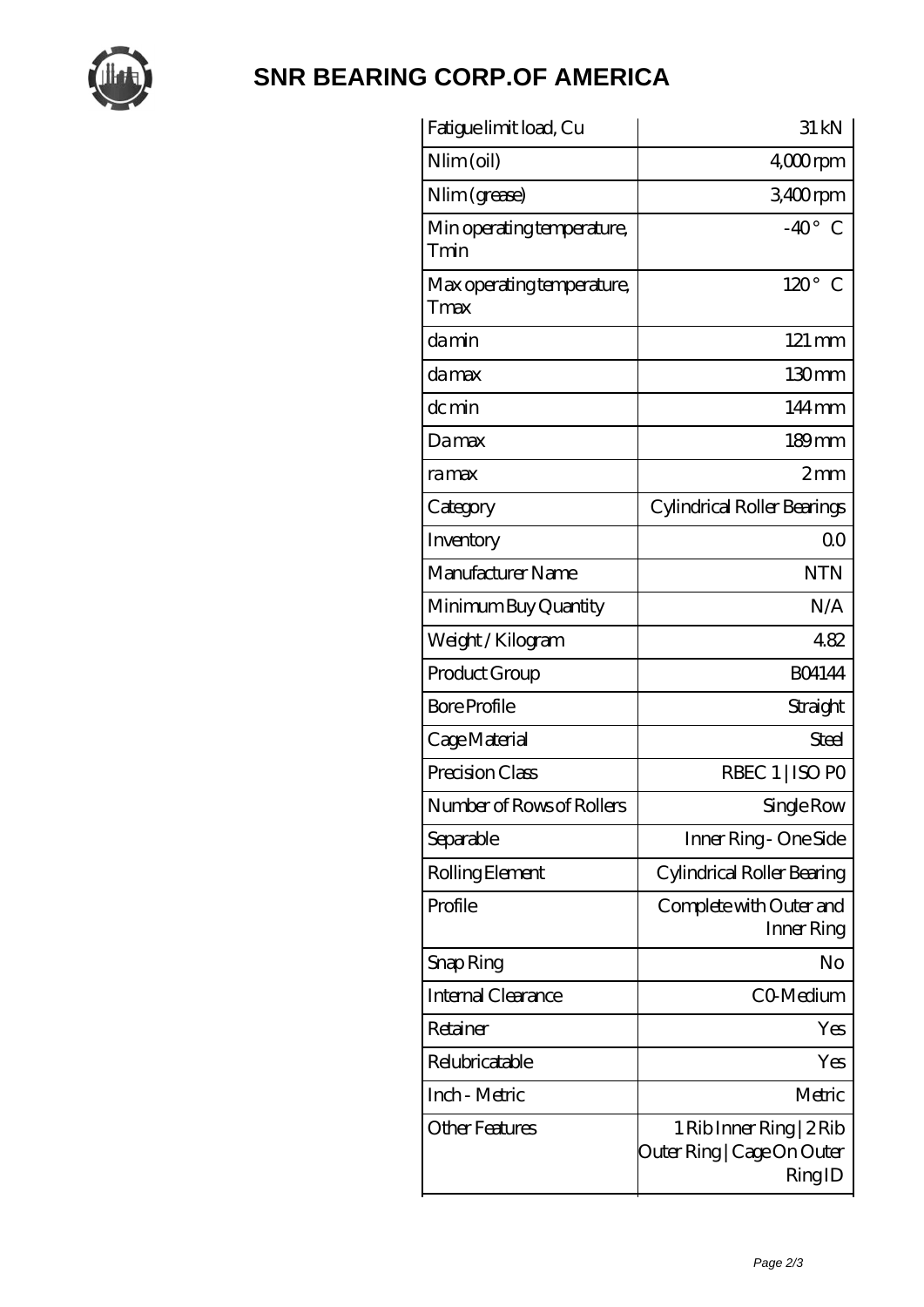

## **[SNR BEARING CORP.OF AMERICA](https://thebestofquebec.com)**

| Fatigue limit load, Cu             | 31 kN                                                            |
|------------------------------------|------------------------------------------------------------------|
| $Nlim$ (oil)                       | 4,000rpm                                                         |
| Nlim (grease)                      | 3400rpm                                                          |
| Min operating temperature,<br>Tmin | $-40^\circ$ C                                                    |
| Max operating temperature,<br>Tmax | $120^\circ$<br>C                                                 |
| damin                              | $121 \,\mathrm{mm}$                                              |
| damax                              | 130mm                                                            |
| dc min                             | $144 \,\mathrm{mm}$                                              |
| Damax                              | $189$ mm                                                         |
| ramax                              | 2mm                                                              |
| Category                           | Cylindrical Roller Bearings                                      |
| Inventory                          | 0 <sub>0</sub>                                                   |
| Manufacturer Name                  | <b>NTN</b>                                                       |
| Minimum Buy Quantity               | N/A                                                              |
| Weight / Kilogram                  | 482                                                              |
| Product Group                      | <b>BO4144</b>                                                    |
| <b>Bore Profile</b>                | Straight                                                         |
| Cage Material                      | Steel                                                            |
| Precision Class                    | RBEC 1   ISO PO                                                  |
| Number of Rows of Rollers          | Single Row                                                       |
| Separable                          | Inner Ring - One Side                                            |
| Rolling Element                    | Cylindrical Roller Bearing                                       |
| Profile                            | Complete with Outer and<br>Inner Ring                            |
| Snap Ring                          | No                                                               |
| Internal Clearance                 | CO-Medium                                                        |
| Retainer                           | Yes                                                              |
| Relubricatable                     | Yes                                                              |
| Inch - Metric                      | Metric                                                           |
| Other Features                     | 1 Rib Inner Ring   2 Rib<br>Outer Ring   Cage On Outer<br>RingID |